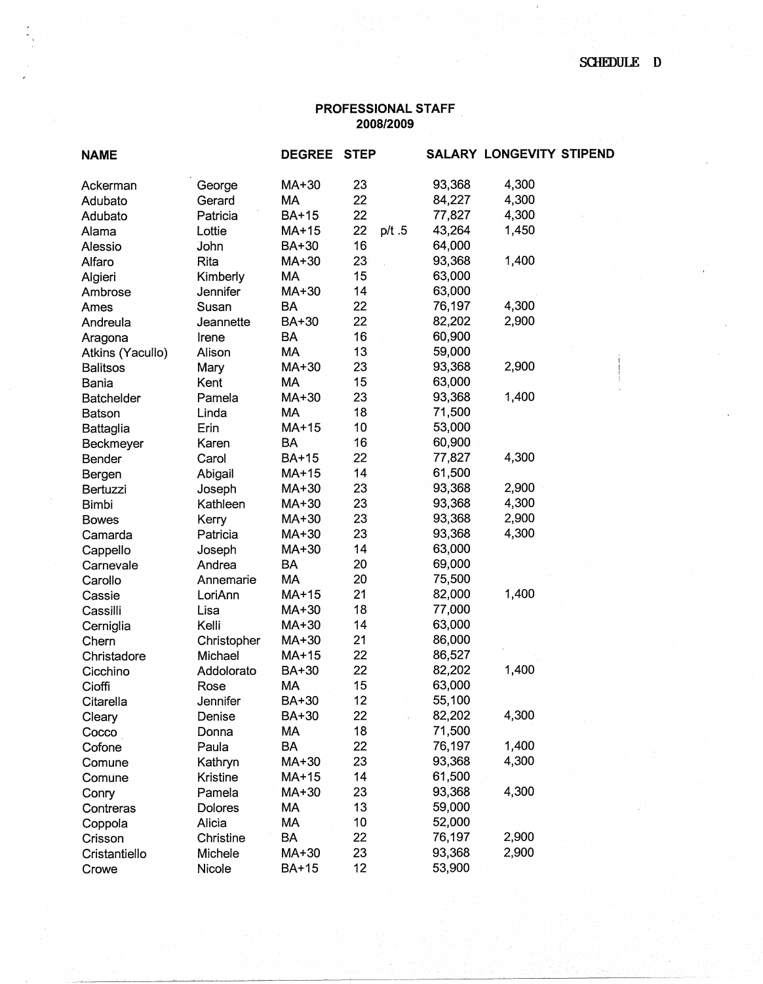## **PROFESSIONAL STAFF 2008/2009**

|                | <b>DEGREE</b> |                 |       |             |        |                          |
|----------------|---------------|-----------------|-------|-------------|--------|--------------------------|
| George         | MA+30         | 23              |       | 93,368      | 4,300  |                          |
| Gerard         | MA            |                 |       |             | 4,300  |                          |
| Patricia       | <b>BA+15</b>  | 22              |       | 77,827      | 4,300  |                          |
| Lottie         | $MA+15$       | 22              | p/t.5 | 43,264      | 1,450  |                          |
| John           | BA+30         | 16              |       | 64,000      |        |                          |
| Rita           | MA+30         | 23 <sup>°</sup> |       | 93,368      | 1,400  |                          |
| Kimberly       | MA            | 15              |       | 63,000      |        |                          |
| Jennifer       | MA+30         | 14              |       | 63,000      |        |                          |
| Susan          | <b>BA</b>     | 22              |       | 76,197      | 4,300  |                          |
| Jeannette      | BA+30         | 22              |       | 82,202      | 2,900  |                          |
| Irene          | <b>BA</b>     | 16              |       | 60,900      |        |                          |
| Alison         | <b>MA</b>     | 13              |       | 59,000      |        |                          |
| Mary           | MA+30         | 23              |       | 93,368      | 2,900  |                          |
| Kent           | МA            | 15              |       | 63,000      |        |                          |
| Pamela         | MA+30         | 23              |       | 93,368      | 1,400  |                          |
| Linda          | MA            | 18              |       | 71,500      |        |                          |
| Erin           | MA+15         | 10              |       | 53,000      |        |                          |
| Karen          | BA            | 16              |       | 60,900      |        |                          |
| Carol          | BA+15         | 22              |       | 77,827      | 4,300  |                          |
| Abigail        | $MA+15$       | 14              |       | 61,500      |        |                          |
| Joseph         | MA+30         | 23              |       | 93,368      | 2,900  |                          |
| Kathleen       | MA+30         | 23              |       | 93,368      | 4,300  |                          |
| Kerry          | MA+30         | 23              |       | 93,368      | 2,900  |                          |
| Patricia       | MA+30         | 23              |       | 93,368      | 4,300  |                          |
| Joseph         | MA+30         | 14              |       | 63,000      |        |                          |
| Andrea         | <b>BA</b>     | 20              |       | 69,000      |        |                          |
| Annemarie      | MA            | 20              |       | 75,500      |        |                          |
| LoriAnn        | MA+15         | 21              |       | 82,000      | 1,400  |                          |
| Lisa           | MA+30         | 18              |       | 77,000      |        |                          |
| Kelli          | MA+30         | 14              |       | 63,000      |        |                          |
| Christopher    | MA+30         | 21              |       | 86,000      |        |                          |
| Michael        | MA+15         | 22 <sub>2</sub> |       | 86,527      |        |                          |
| Addolorato     | <b>BA+30</b>  | 22              |       | 82,202      | 1,400  |                          |
| Rose           | MA            | 15              |       | 63,000      |        |                          |
| Jennifer       | BA+30         | 12              |       | 55,100      |        |                          |
| Denise         | BA+30         | 22              |       | 82,202      | 4,300  |                          |
| Donna          | MA            | 18              |       | 71,500      |        |                          |
| Paula          | <b>BA</b>     | 22              |       | 76,197      | 1,400  |                          |
| Kathryn        | MA+30         | 23              |       | 93,368      | 4,300  |                          |
| Kristine       | MA+15         | 14              |       | 61,500      |        |                          |
| Pamela         | MA+30         | 23              |       | 93,368      | 4,300  |                          |
| <b>Dolores</b> | MA            | 13              |       | 59,000      |        |                          |
| Alicia         | МA            | 10              |       | 52,000      |        |                          |
| Christine      | BA            | 22              |       | 76,197      | 2,900  |                          |
| Michele        | MA+30         | 23              |       | 93,368      | 2,900  |                          |
| Nicole         | <b>BA+15</b>  | 12              |       | 53,900      |        |                          |
|                |               |                 | 22    | <b>STEP</b> | 84,227 | SALARY LONGEVITY STIPEND |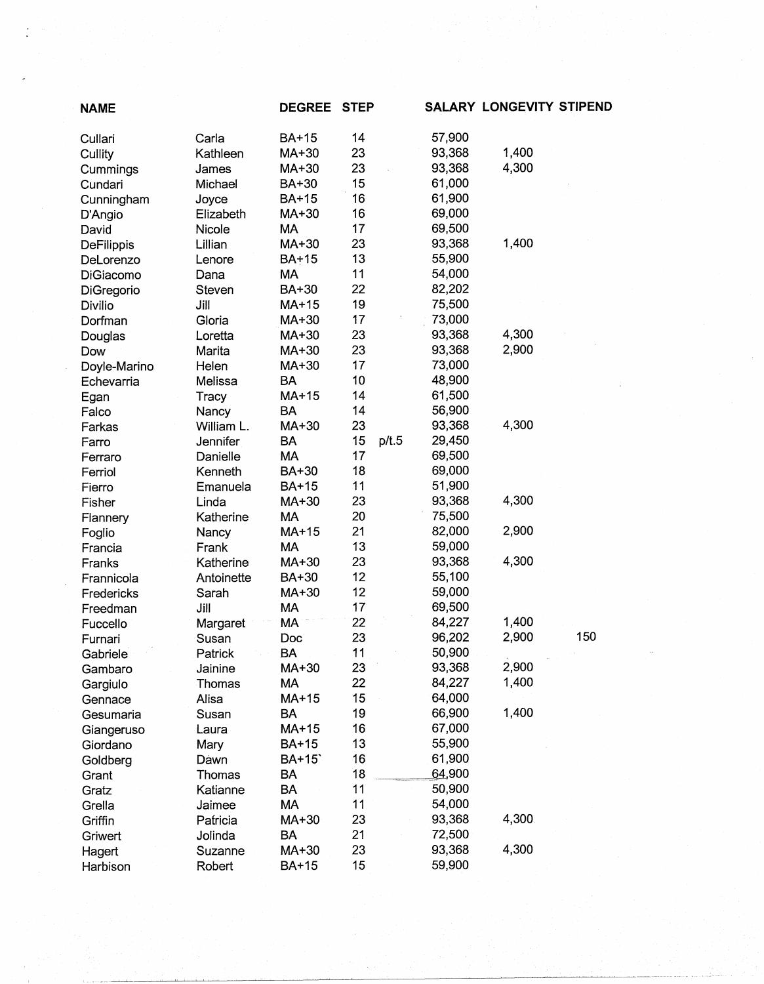| <b>NAME</b>         |                   | <b>DEGREE</b> | <b>STEP</b> |       |        | <b>SALARY LONGEVITY STIPEND</b> |     |
|---------------------|-------------------|---------------|-------------|-------|--------|---------------------------------|-----|
| Cullari             | Carla             | <b>BA+15</b>  | 14          |       | 57,900 |                                 |     |
| Cullity             | Kathleen          | MA+30         | 23          |       | 93,368 | 1,400                           |     |
| Cummings            | James             | MA+30         | 23          |       | 93,368 | 4,300                           |     |
| Cundari             | Michael           | BA+30         | 15          |       | 61,000 |                                 |     |
| Cunningham          | Joyce             | BA+15         | 16          |       | 61,900 |                                 |     |
| D'Angio             | Elizabeth         | MA+30         | 16          |       | 69,000 |                                 |     |
| David               | Nicole            | MA            | 17          |       | 69,500 |                                 |     |
| DeFilippis          | Lillian           | MA+30         | 23          |       | 93,368 | 1,400                           |     |
| DeLorenzo           | Lenore            | <b>BA+15</b>  | 13          |       | 55,900 |                                 |     |
| DiGiacomo           | Dana              | МA            | 11          |       | 54,000 |                                 |     |
| DiGregorio          | Steven            | BA+30         | 22          |       | 82,202 |                                 |     |
| Divilio             | Jill              | MA+15         | 19          |       | 75,500 |                                 |     |
| Dorfman             | Gloria            | MA+30         | 17          |       | 73,000 |                                 |     |
| Douglas             | Loretta           | MA+30         | 23          |       | 93,368 | 4,300                           |     |
| Dow                 | Marita            | MA+30         | 23          |       | 93,368 | 2,900                           |     |
| Doyle-Marino        | Helen             | MA+30         | 17          |       | 73,000 |                                 |     |
| Echevarria          | Melissa           | <b>BA</b>     | 10          |       | 48,900 |                                 |     |
| Egan                | Tracy             | $MA+15$       | 14          |       | 61,500 |                                 |     |
| Falco               | Nancy             | <b>BA</b>     | 14          |       | 56,900 |                                 |     |
| Farkas              | William L.        | MA+30         | 23          |       | 93,368 | 4,300                           |     |
| Farro               | Jennifer          | <b>BA</b>     | 15          | p/t.5 | 29,450 |                                 |     |
| Ferraro             | Danielle          | MA            | 17          |       | 69,500 |                                 |     |
| Ferriol             | Kenneth           | BA+30         | 18          |       | 69,000 |                                 |     |
| Fierro              | Emanuela          | <b>BA+15</b>  | 11          |       | 51,900 |                                 |     |
| Fisher              | Linda             | MA+30         | 23          |       | 93,368 | 4,300                           |     |
| Flannery            | Katherine         | MA            | 20          |       | 75,500 |                                 |     |
|                     | Nancy             | MA+15         | 21          |       | 82,000 | 2,900                           |     |
| Foglio<br>Francia   | Frank             | MA            | 13          |       | 59,000 |                                 |     |
| Franks              | Katherine         | MA+30         | 23          |       | 93,368 | 4,300                           |     |
| Frannicola          | Antoinette        | BA+30         | 12          |       | 55,100 |                                 |     |
| Fredericks          | Sarah             | MA+30         | 12          |       | 59,000 |                                 |     |
| Freedman            | Jill              | MA            | 17          |       | 69,500 |                                 |     |
| Fuccello            |                   | MA            | 22          |       | 84,227 | 1,400                           |     |
|                     | Margaret<br>Susan | Doc           | 23          |       | 96,202 | 2,900                           | 150 |
| Furnari<br>Gabriele | Patrick           | <b>BA</b>     | 11          |       | 50,900 |                                 |     |
| Gambaro             | Jainine           | MA+30         | 23          |       | 93,368 | 2,900                           |     |
|                     | Thomas            | MA            | 22          |       | 84,227 | 1,400                           |     |
| Gargiulo<br>Gennace | Alisa             | $MA+15$       | 15          |       | 64,000 |                                 |     |
| Gesumaria           | Susan             | BA            | 19          |       | 66,900 | 1,400                           |     |
|                     |                   | MA+15         | 16          |       | 67,000 |                                 |     |
| Giangeruso          | Laura             | <b>BA+15</b>  | 13          |       | 55,900 |                                 |     |
| Giordano            | Mary<br>Dawn      | BA+15         | 16          |       | 61,900 |                                 |     |
| Goldberg            |                   | <b>BA</b>     | 18          |       | 64,900 |                                 |     |
| Grant               | Thomas            | <b>BA</b>     | 11          |       | 50,900 |                                 |     |
| Gratz               | Katianne          | MA            | 11          |       | 54,000 |                                 |     |
| Grella              | Jaimee            | MA+30         | 23          |       | 93,368 | 4,300                           |     |
| Griffin             | Patricia          | BA            | 21          |       | 72,500 |                                 |     |
| Griwert             | Jolinda           | MA+30         | 23          |       | 93,368 | 4,300                           |     |
| Hagert              | Suzanne           |               | 15          |       |        |                                 |     |
| Harbison            | Robert            | <b>BA+15</b>  |             |       | 59,900 |                                 |     |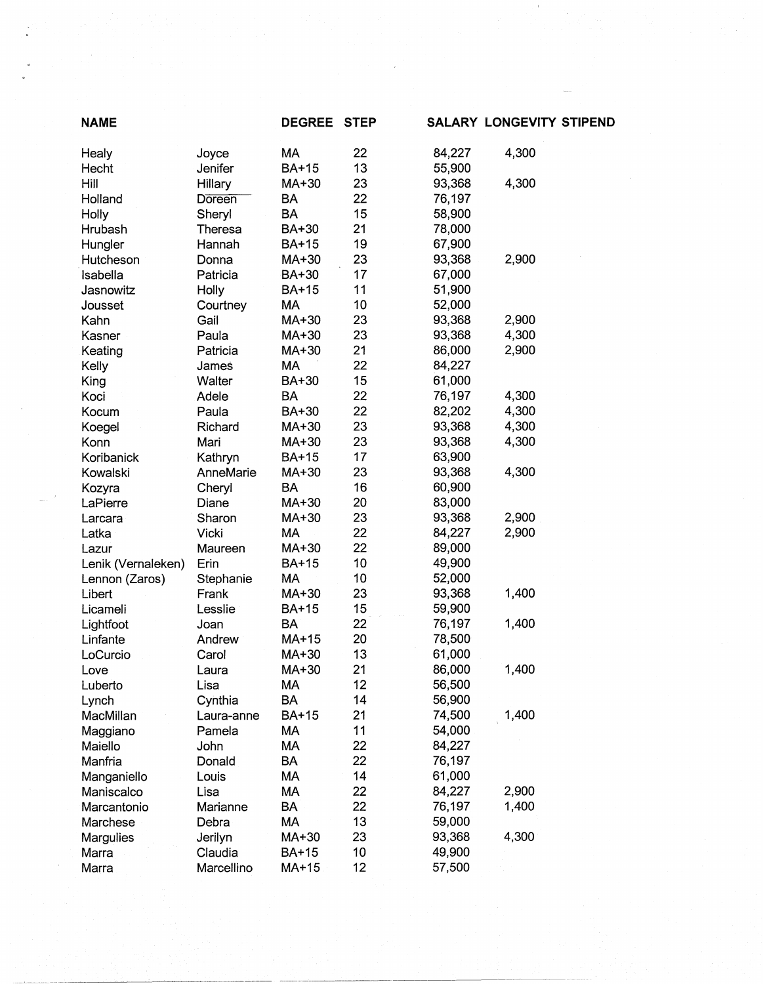| <b>NAME</b>        |            | <b>DEGREE</b> | <b>STEP</b> |        | <b>SALARY LONGEVITY STIPEND</b> |  |
|--------------------|------------|---------------|-------------|--------|---------------------------------|--|
| Healy              | Joyce      | MA            | 22          | 84,227 | 4,300                           |  |
| Hecht              | Jenifer    | <b>BA+15</b>  | 13          | 55,900 |                                 |  |
| Hill               | Hillary    | MA+30         | 23          | 93,368 | 4,300                           |  |
| Holland            | Doreen     | <b>BA</b>     | 22          | 76,197 |                                 |  |
| Holly              | Sheryl     | <b>BA</b>     | 15          | 58,900 |                                 |  |
| Hrubash            | Theresa    | BA+30         | 21          | 78,000 |                                 |  |
| Hungler            | Hannah     | BA+15         | 19          | 67,900 |                                 |  |
| Hutcheson          | Donna      | MA+30         | 23          | 93,368 | 2,900                           |  |
| Isabella           | Patricia   | BA+30         | 17          | 67,000 |                                 |  |
| Jasnowitz          | Holly      | BA+15         | 11          | 51,900 |                                 |  |
| Jousset            | Courtney   | MA            | 10          | 52,000 |                                 |  |
| Kahn               | Gail       | MA+30         | 23          | 93,368 | 2,900                           |  |
| Kasner             | Paula      | MA+30         | 23          | 93,368 | 4,300                           |  |
| Keating            | Patricia   | MA+30         | 21          | 86,000 | 2,900                           |  |
| Kelly              | James      | MA            | 22          | 84,227 |                                 |  |
| King               | Walter     | BA+30         | 15          | 61,000 |                                 |  |
| Koci               | Adele      | BA            | 22          | 76,197 | 4,300                           |  |
| Kocum              | Paula      | BA+30         | 22          | 82,202 | 4,300                           |  |
| Koegel             | Richard    | MA+30         | 23          | 93,368 | 4,300                           |  |
| Konn               | Mari       | MA+30         | 23          | 93,368 | 4,300                           |  |
| Koribanick         | Kathryn    | BA+15         | 17          | 63,900 |                                 |  |
| Kowalski           | AnneMarie  | MA+30         | 23          | 93,368 | 4,300                           |  |
| Kozyra             | Cheryl     | <b>BA</b>     | 16          | 60,900 |                                 |  |
| LaPierre           | Diane      | MA+30         | 20          | 83,000 |                                 |  |
| Larcara            | Sharon     | MA+30         | 23          | 93,368 | 2,900                           |  |
| Latka              | Vicki      | MA            | 22          | 84,227 | 2,900                           |  |
| Lazur              | Maureen    | MA+30         | 22          | 89,000 |                                 |  |
| Lenik (Vernaleken) | Erin       | <b>BA+15</b>  | 10          | 49,900 |                                 |  |
| Lennon (Zaros)     | Stephanie  | MA            | 10          | 52,000 |                                 |  |
| Libert             | Frank      | MA+30         | 23          | 93,368 | 1,400                           |  |
| Licameli           | Lesslie    | BA+15         | 15          | 59,900 |                                 |  |
| Lightfoot          | Joan       | <b>BA</b>     | 22          | 76,197 | 1,400                           |  |
| Linfante           | Andrew     | $MA+15$       | 20          | 78,500 |                                 |  |
| LoCurcio           | Carol      | MA+30         | 13          | 61,000 |                                 |  |
|                    |            | MA+30         | 21          | 86,000 | 1,400                           |  |
| Love               | Laura      | МA            | 12          | 56,500 |                                 |  |
| Luberto            | Lisa       | <b>BA</b>     | 14          | 56,900 |                                 |  |
| Lynch              | Cynthia    |               |             |        |                                 |  |
| MacMillan          | Laura-anne | <b>BA+15</b>  | 21          | 74,500 | 1,400                           |  |
| Maggiano           | Pamela     | МA            | 11          | 54,000 |                                 |  |
| Maiello            | John       | MA            | 22          | 84,227 |                                 |  |
| Manfria            | Donald     | <b>BA</b>     | 22          | 76,197 |                                 |  |
| Manganiello        | Louis      | МA            | 14          | 61,000 |                                 |  |
| Maniscalco         | Lisa       | MA            | 22          | 84,227 | 2,900                           |  |
| Marcantonio        | Marianne   | BA            | 22          | 76,197 | 1,400                           |  |
| Marchese           | Debra      | МA            | 13          | 59,000 |                                 |  |
| Margulies          | Jerilyn    | MA+30         | 23          | 93,368 | 4,300                           |  |
| Marra              | Claudia    | BA+15         | 10          | 49,900 |                                 |  |
| Marra              | Marcellino | MA+15         | 12          | 57,500 |                                 |  |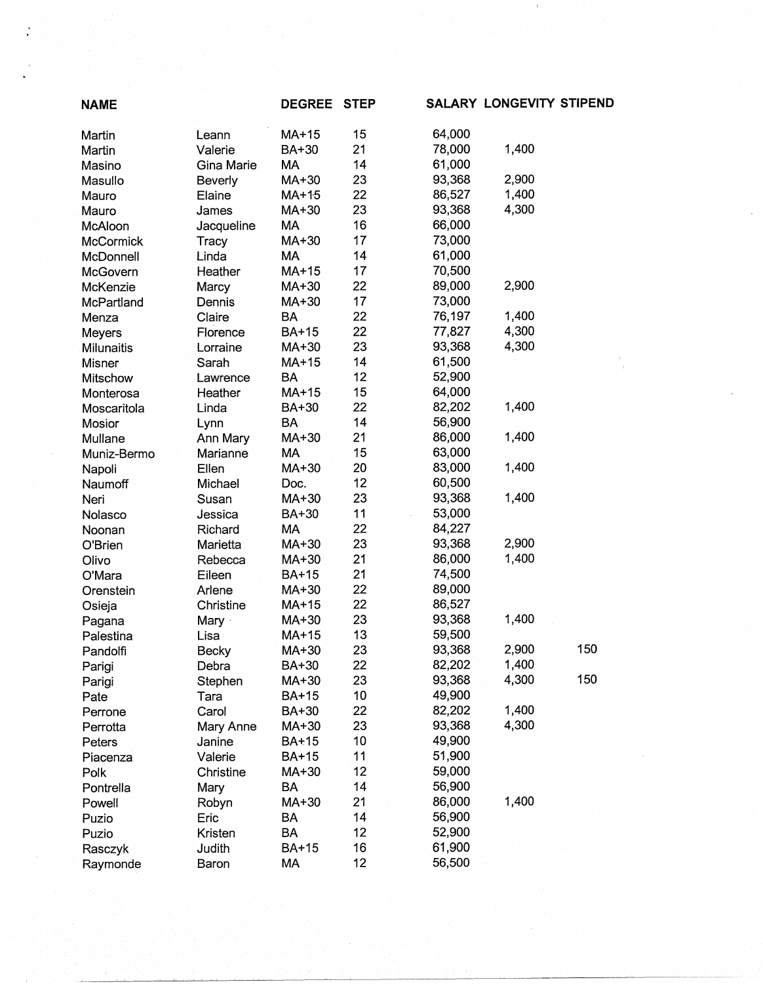| <b>NAME</b> |                | <b>DEGREE</b>  | <b>STEP</b> |        | <b>SALARY LONGEVITY STIPEND</b> |     |
|-------------|----------------|----------------|-------------|--------|---------------------------------|-----|
| Martin      | Leann          | MA+15          | 15          | 64,000 |                                 |     |
| Martin      | Valerie        | BA+30          | 21          | 78,000 | 1,400                           |     |
| Masino      | Gina Marie     | MA             | 14          | 61,000 |                                 |     |
| Masullo     | Beverly        | MA+30          | 23          | 93,368 | 2,900                           |     |
| Mauro       | Elaine         | $MA+15$        | 22          | 86,527 | 1,400                           |     |
| Mauro       | James          | MA+30          | 23          | 93,368 | 4,300                           |     |
| McAloon     | Jacqueline     | MA             | 16          | 66,000 |                                 |     |
| McCormick   | Tracy          | MA+30          | 17          | 73,000 |                                 |     |
| McDonnell   | Linda          | MA             | 14          | 61,000 |                                 |     |
| McGovern    | Heather        | MA+15          | 17          | 70,500 |                                 |     |
| McKenzie    | Marcy          | MA+30          | 22          | 89,000 | 2,900                           |     |
| McPartland  | Dennis         | MA+30          | 17          | 73,000 |                                 |     |
| Menza       | Claire         | <b>BA</b>      | 22          | 76,197 | 1,400                           |     |
| Meyers      | Florence       | <b>BA+15</b>   | 22          | 77,827 | 4,300                           |     |
| Milunaitis  | Lorraine       | MA+30          | 23          | 93,368 | 4,300                           |     |
| Misner      | Sarah          | MA+15          | 14          | 61,500 |                                 |     |
| Mitschow    | Lawrence       | <b>BA</b>      | 12          | 52,900 |                                 |     |
| Monterosa   | Heather        | MA+15          | 15          | 64,000 |                                 |     |
| Moscaritola | Linda          | BA+30          | 22          | 82,202 | 1,400                           |     |
| Mosior      | Lynn           | BA             | 14          | 56,900 |                                 |     |
| Mullane     | Ann Mary       | MA+30          | 21          | 86,000 | 1,400                           |     |
| Muniz-Bermo | Marianne       | МA             | 15          | 63,000 |                                 |     |
| Napoli      | Ellen          | MA+30          | 20          | 83,000 | 1,400                           |     |
| Naumoff     | Michael        | Doc.           | 12          | 60,500 |                                 |     |
| Neri        | Susan          | MA+30          | 23          | 93,368 | 1,400                           |     |
| Nolasco     | Jessica        | BA+30          | 11          | 53,000 |                                 |     |
| Noonan      | Richard        | MA             | 22          | 84,227 |                                 |     |
| O'Brien     | Marietta       | MA+30          | 23          | 93,368 | 2,900                           |     |
| Olivo       | Rebecca        | MA+30          | 21          | 86,000 | 1,400                           |     |
| O'Mara      | Eileen         | BA+15          | 21          | 74,500 |                                 |     |
| Orenstein   | Arlene         | MA+30          | 22          | 89,000 |                                 |     |
|             | Christine      | MA+15          | 22          | 86,527 |                                 |     |
| Osieja      |                | MA+30          | 23          | 93,368 | 1,400                           |     |
| Pagana      | Mary ·<br>Lisa | MA+15          | 13          | 59,500 |                                 |     |
| Palestina   | Becky          |                | 23          | 93,368 | 2,900                           | 150 |
| Pandolfi    |                | MA+30<br>BA+30 | 22          | 82,202 | 1,400                           |     |
| Parigi      | Debra          | MA+30          | 23          | 93,368 | 4,300                           | 150 |
| Parigi      | Stephen        |                | 10          | 49,900 |                                 |     |
| Pate        | Tara           | <b>BA+15</b>   |             |        | 1,400                           |     |
| Perrone     | Carol          | BA+30          | 22          | 82,202 |                                 |     |
| Perrotta    | Mary Anne      | MA+30          | 23          | 93,368 | 4,300                           |     |
| Peters      | Janine         | <b>BA+15</b>   | 10          | 49,900 |                                 |     |
| Piacenza    | Valerie        | <b>BA+15</b>   | 11          | 51,900 |                                 |     |
| Polk        | Christine      | MA+30          | 12          | 59,000 |                                 |     |
| Pontrella   | Mary           | BA             | 14          | 56,900 |                                 |     |
| Powell      | Robyn          | MA+30          | 21          | 86,000 | 1,400                           |     |
| Puzio       | Eric           | BA             | 14          | 56,900 |                                 |     |
| Puzio       | Kristen        | BA             | 12          | 52,900 |                                 |     |
| Rasczyk     | Judith         | BA+15          | 16          | 61,900 |                                 |     |
| Raymonde    | Baron          | MA             | 12          | 56,500 |                                 |     |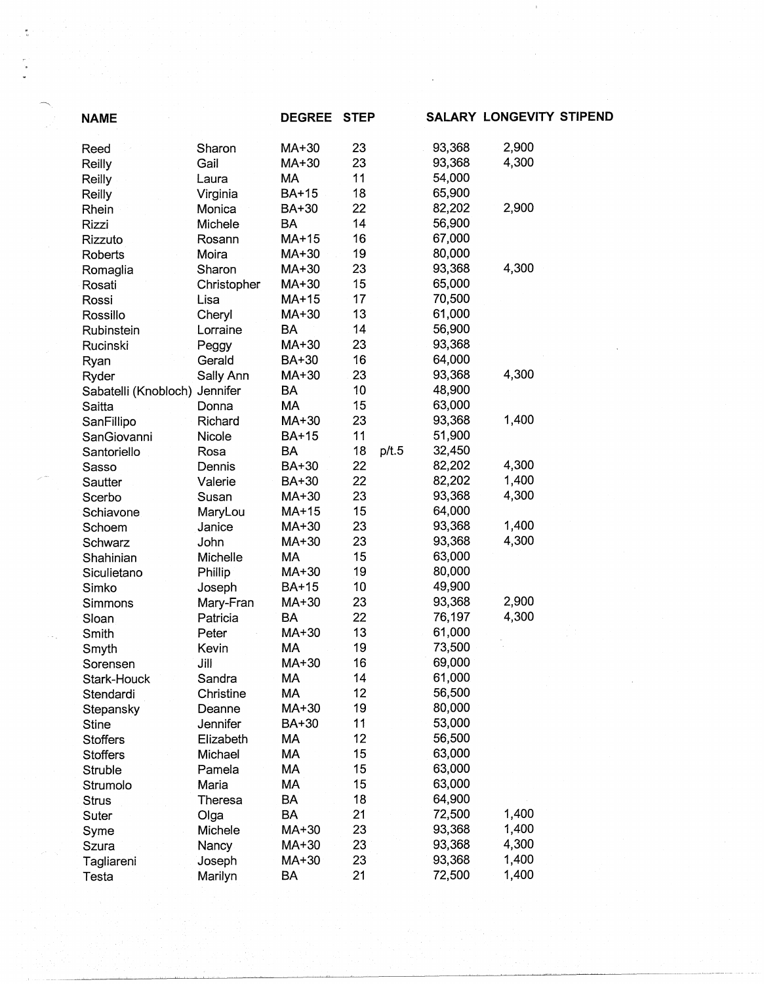| <b>NAME</b>                   |                | <b>DEGREE</b> | <b>STEP</b> |       |        | SALARY LONGEVITY STIPEND |  |
|-------------------------------|----------------|---------------|-------------|-------|--------|--------------------------|--|
| Reed                          | Sharon         | MA+30         | 23          |       | 93,368 | 2,900                    |  |
| Reilly                        | Gail           | MA+30         | 23          |       | 93,368 | 4,300                    |  |
| Reilly                        | Laura          | МA            | 11          |       | 54,000 |                          |  |
| Reilly                        | Virginia       | <b>BA+15</b>  | 18          |       | 65,900 |                          |  |
| Rhein                         | Monica         | BA+30         | 22          |       | 82,202 | 2,900                    |  |
| Rizzi                         | Michele        | BA            | 14          |       | 56,900 |                          |  |
| Rizzuto                       | Rosann         | MA+15         | 16          |       | 67,000 |                          |  |
| Roberts                       | Moira          | MA+30         | 19          |       | 80,000 |                          |  |
| Romaglia                      | Sharon         | MA+30         | 23          |       | 93,368 | 4,300                    |  |
| Rosati                        | Christopher    | MA+30         | 15          |       | 65,000 |                          |  |
| Rossi                         | Lisa           | MA+15         | 17          |       | 70,500 |                          |  |
| Rossillo                      | Cheryl         | MA+30         | 13          |       | 61,000 |                          |  |
| Rubinstein                    | Lorraine       | <b>BA</b>     | 14          |       | 56,900 |                          |  |
| Rucinski                      | Peggy          | MA+30         | 23          |       | 93,368 |                          |  |
| Ryan                          | Gerald         | BA+30         | 16          |       | 64,000 |                          |  |
| Ryder                         | Sally Ann      | MA+30         | 23          |       | 93,368 | 4,300                    |  |
| Sabatelli (Knobloch) Jennifer |                | BA            | 10          |       | 48,900 |                          |  |
| Saitta                        | Donna          | <b>MA</b>     | 15          |       | 63,000 |                          |  |
| SanFillipo                    | Richard        | MA+30         | 23          |       | 93,368 | 1,400                    |  |
| SanGiovanni                   | Nicole         | <b>BA+15</b>  | 11          |       | 51,900 |                          |  |
| Santoriello                   | Rosa           | <b>BA</b>     | 18          | p/t.5 | 32,450 |                          |  |
| Sasso                         | Dennis         | BA+30         | 22          |       | 82,202 | 4,300                    |  |
| Sautter                       | Valerie        | BA+30         | 22          |       | 82,202 | 1,400                    |  |
| Scerbo                        | Susan          | MA+30         | 23          |       | 93,368 | 4,300                    |  |
| Schiavone                     | MaryLou        | MA+15         | 15          |       | 64,000 |                          |  |
| Schoem                        | Janice         | MA+30         | 23          |       | 93,368 | 1,400                    |  |
| Schwarz                       | John           | MA+30         | 23          |       | 93,368 | 4,300                    |  |
| Shahinian                     | Michelle       | MA            | 15          |       | 63,000 |                          |  |
| Siculietano                   | Phillip        | MA+30         | 19          |       | 80,000 |                          |  |
| Simko                         | Joseph         | BA+15         | 10          |       | 49,900 |                          |  |
| Simmons                       | Mary-Fran      | MA+30         | 23          |       | 93,368 | 2,900                    |  |
| Sloan                         | Patricia       | <b>BA</b>     | 22          |       | 76,197 | 4,300                    |  |
| Smith                         | Peter          | MA+30         | 13          |       | 61,000 |                          |  |
| Smyth                         | Kevin          | MA            | 19          |       | 73,500 |                          |  |
| Sorensen                      | Jill           | MA+30         | 16          |       | 69,000 |                          |  |
| Stark-Houck                   | Sandra         | МA            | 14          |       | 61,000 |                          |  |
| Stendardi                     | Christine      | MA            | 12          |       | 56,500 |                          |  |
| Stepansky                     | Deanne         | MA+30         | 19          |       | 80,000 |                          |  |
| <b>Stine</b>                  | Jennifer       | BA+30         | 11          |       | 53,000 |                          |  |
| <b>Stoffers</b>               | Elizabeth      | MA            | 12          |       | 56,500 |                          |  |
| <b>Stoffers</b>               | Michael        | MA            | 15          |       | 63,000 |                          |  |
| Struble                       | Pamela         | MA            | 15          |       | 63,000 |                          |  |
| Strumolo                      | Maria          | MA            | 15          |       | 63,000 |                          |  |
| <b>Strus</b>                  | <b>Theresa</b> | <b>BA</b>     | 18          |       | 64,900 |                          |  |
| Suter                         | Olga           | <b>BA</b>     | 21          |       | 72,500 | 1,400                    |  |
| Syme                          | Michele        | MA+30         | 23          |       | 93,368 | 1,400                    |  |
| Szura                         | Nancy          | MA+30         | 23          |       | 93,368 | 4,300                    |  |
| Tagliareni                    | Joseph         | MA+30         | 23          |       | 93,368 | 1,400                    |  |
| Testa                         | Marilyn        | BA            | 21          |       | 72,500 | 1,400                    |  |
|                               |                |               |             |       |        |                          |  |

 $\sim$   $\sim$